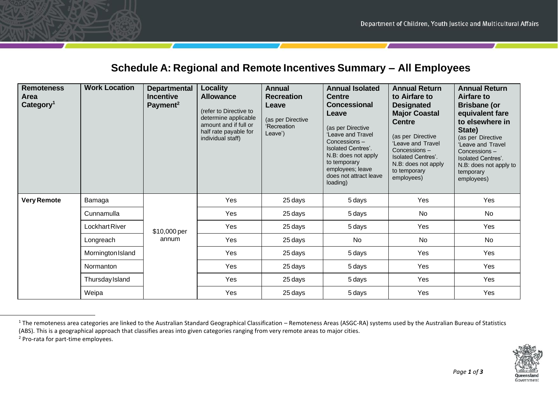## **Schedule A: Regional and Remote Incentives Summary – All Employees**

| <b>Remoteness</b><br>Area<br>Category <sup>1</sup> | <b>Work Location</b>   | <b>Departmental</b><br><b>Incentive</b><br>Payment <sup>2</sup> | Locality<br><b>Allowance</b><br>(refer to Directive to<br>determine applicable<br>amount and if full or<br>half rate payable for<br>individual staff) | <b>Annual</b><br><b>Recreation</b><br>Leave<br>(as per Directive<br>'Recreation<br>Leave') | <b>Annual Isolated</b><br><b>Centre</b><br><b>Concessional</b><br>Leave<br>(as per Directive<br>'Leave and Travel<br>Concessions -<br><b>Isolated Centres'.</b><br>N.B: does not apply<br>to temporary<br>employees; leave<br>does not attract leave<br>loading) | <b>Annual Return</b><br>to Airfare to<br><b>Designated</b><br><b>Major Coastal</b><br><b>Centre</b><br>(as per Directive<br>'Leave and Travel<br>Concessions-<br><b>Isolated Centres'.</b><br>N.B: does not apply<br>to temporary<br>employees) | <b>Annual Return</b><br><b>Airfare to</b><br><b>Brisbane (or</b><br>equivalent fare<br>to elsewhere in<br>State)<br>(as per Directive<br>'Leave and Travel<br>Concessions-<br><b>Isolated Centres'.</b><br>N.B: does not apply to<br>temporary<br>employees) |
|----------------------------------------------------|------------------------|-----------------------------------------------------------------|-------------------------------------------------------------------------------------------------------------------------------------------------------|--------------------------------------------------------------------------------------------|------------------------------------------------------------------------------------------------------------------------------------------------------------------------------------------------------------------------------------------------------------------|-------------------------------------------------------------------------------------------------------------------------------------------------------------------------------------------------------------------------------------------------|--------------------------------------------------------------------------------------------------------------------------------------------------------------------------------------------------------------------------------------------------------------|
| <b>Very Remote</b>                                 | Bamaga                 | \$10,000 per<br>annum                                           | Yes                                                                                                                                                   | 25 days                                                                                    | 5 days                                                                                                                                                                                                                                                           | Yes                                                                                                                                                                                                                                             | Yes                                                                                                                                                                                                                                                          |
|                                                    | Cunnamulla             |                                                                 | Yes                                                                                                                                                   | 25 days                                                                                    | 5 days                                                                                                                                                                                                                                                           | No                                                                                                                                                                                                                                              | No                                                                                                                                                                                                                                                           |
|                                                    | Lockhart River         |                                                                 | Yes                                                                                                                                                   | 25 days                                                                                    | 5 days                                                                                                                                                                                                                                                           | Yes                                                                                                                                                                                                                                             | Yes                                                                                                                                                                                                                                                          |
|                                                    | Longreach              |                                                                 | Yes                                                                                                                                                   | 25 days                                                                                    | <b>No</b>                                                                                                                                                                                                                                                        | No                                                                                                                                                                                                                                              | No                                                                                                                                                                                                                                                           |
|                                                    | Mornington Island      |                                                                 | Yes                                                                                                                                                   | 25 days                                                                                    | 5 days                                                                                                                                                                                                                                                           | Yes                                                                                                                                                                                                                                             | Yes                                                                                                                                                                                                                                                          |
|                                                    | Normanton              |                                                                 | Yes                                                                                                                                                   | 25 days                                                                                    | 5 days                                                                                                                                                                                                                                                           | Yes                                                                                                                                                                                                                                             | Yes                                                                                                                                                                                                                                                          |
|                                                    | <b>Thursday Island</b> |                                                                 | Yes                                                                                                                                                   | 25 days                                                                                    | 5 days                                                                                                                                                                                                                                                           | Yes                                                                                                                                                                                                                                             | Yes                                                                                                                                                                                                                                                          |
|                                                    | Weipa                  |                                                                 | Yes                                                                                                                                                   | 25 days                                                                                    | 5 days                                                                                                                                                                                                                                                           | Yes                                                                                                                                                                                                                                             | Yes                                                                                                                                                                                                                                                          |

<sup>&</sup>lt;sup>1</sup> The remoteness area categories are linked to the Australian Standard Geographical Classification – Remoteness Areas (ASGC-RA) systems used by the Australian Bureau of Statistics (ABS). This is a geographical approach that classifies areas into given categories ranging from very remote areas to major cities.

<sup>2</sup> Pro-rata for part-time employees.

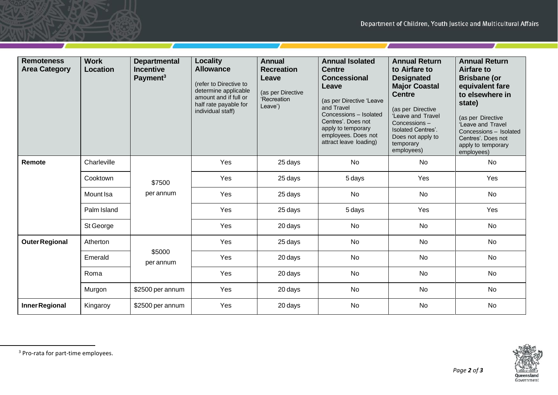т

| <b>Remoteness</b><br><b>Area Category</b> | <b>Work</b><br>Location | <b>Departmental</b><br><b>Incentive</b><br>Payment <sup>3</sup> | <b>Locality</b><br><b>Allowance</b><br>(refer to Directive to<br>determine applicable<br>amount and if full or<br>half rate payable for<br>individual staff) | <b>Annual</b><br><b>Recreation</b><br>Leave<br>(as per Directive<br>'Recreation<br>Leave') | <b>Annual Isolated</b><br><b>Centre</b><br><b>Concessional</b><br>Leave<br>(as per Directive 'Leave<br>and Travel<br>Concessions - Isolated<br>Centres'. Does not<br>apply to temporary<br>employees. Does not<br>attract leave loading) | <b>Annual Return</b><br>to Airfare to<br><b>Designated</b><br><b>Major Coastal</b><br><b>Centre</b><br>(as per Directive<br>'Leave and Travel<br>Concessions-<br><b>Isolated Centres'.</b><br>Does not apply to<br>temporary<br>employees) | <b>Annual Return</b><br><b>Airfare to</b><br><b>Brisbane</b> (or<br>equivalent fare<br>to elsewhere in<br>state)<br>(as per Directive<br>'Leave and Travel<br>Concessions - Isolated<br>Centres'. Does not<br>apply to temporary<br>employees) |
|-------------------------------------------|-------------------------|-----------------------------------------------------------------|--------------------------------------------------------------------------------------------------------------------------------------------------------------|--------------------------------------------------------------------------------------------|------------------------------------------------------------------------------------------------------------------------------------------------------------------------------------------------------------------------------------------|--------------------------------------------------------------------------------------------------------------------------------------------------------------------------------------------------------------------------------------------|------------------------------------------------------------------------------------------------------------------------------------------------------------------------------------------------------------------------------------------------|
| Remote                                    | Charleville             | \$7500<br>per annum                                             | Yes                                                                                                                                                          | 25 days                                                                                    | <b>No</b>                                                                                                                                                                                                                                | No                                                                                                                                                                                                                                         | No                                                                                                                                                                                                                                             |
|                                           | Cooktown                |                                                                 | Yes                                                                                                                                                          | 25 days                                                                                    | 5 days                                                                                                                                                                                                                                   | Yes                                                                                                                                                                                                                                        | Yes                                                                                                                                                                                                                                            |
|                                           | Mount Isa               |                                                                 | Yes                                                                                                                                                          | 25 days                                                                                    | No                                                                                                                                                                                                                                       | No                                                                                                                                                                                                                                         | No                                                                                                                                                                                                                                             |
|                                           | Palm Island             |                                                                 | Yes                                                                                                                                                          | 25 days                                                                                    | 5 days                                                                                                                                                                                                                                   | Yes                                                                                                                                                                                                                                        | Yes                                                                                                                                                                                                                                            |
|                                           | St George               |                                                                 | Yes                                                                                                                                                          | 20 days                                                                                    | No                                                                                                                                                                                                                                       | No                                                                                                                                                                                                                                         | No                                                                                                                                                                                                                                             |
| <b>Outer Regional</b>                     | Atherton                | \$5000<br>per annum                                             | Yes                                                                                                                                                          | 25 days                                                                                    | No                                                                                                                                                                                                                                       | No                                                                                                                                                                                                                                         | No                                                                                                                                                                                                                                             |
|                                           | Emerald                 |                                                                 | Yes                                                                                                                                                          | 20 days                                                                                    | <b>No</b>                                                                                                                                                                                                                                | <b>No</b>                                                                                                                                                                                                                                  | No                                                                                                                                                                                                                                             |
|                                           | Roma                    |                                                                 | Yes                                                                                                                                                          | 20 days                                                                                    | No                                                                                                                                                                                                                                       | No                                                                                                                                                                                                                                         | No                                                                                                                                                                                                                                             |
|                                           | Murgon                  | \$2500 per annum                                                | Yes                                                                                                                                                          | 20 days                                                                                    | No                                                                                                                                                                                                                                       | No                                                                                                                                                                                                                                         | No                                                                                                                                                                                                                                             |
| Inner Regional                            | Kingaroy                | \$2500 per annum                                                | Yes                                                                                                                                                          | 20 days                                                                                    | <b>No</b>                                                                                                                                                                                                                                | <b>No</b>                                                                                                                                                                                                                                  | <b>No</b>                                                                                                                                                                                                                                      |